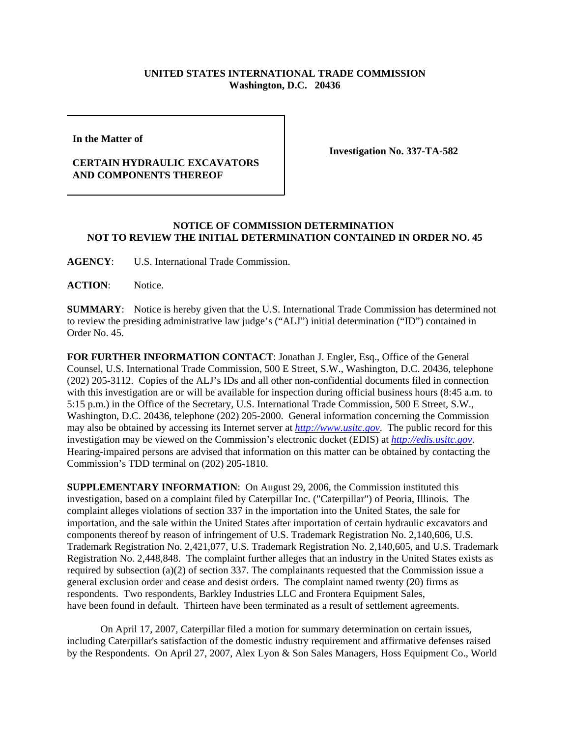## **UNITED STATES INTERNATIONAL TRADE COMMISSION Washington, D.C. 20436**

**In the Matter of** 

## **CERTAIN HYDRAULIC EXCAVATORS AND COMPONENTS THEREOF**

**Investigation No. 337-TA-582**

## **NOTICE OF COMMISSION DETERMINATION NOT TO REVIEW THE INITIAL DETERMINATION CONTAINED IN ORDER NO. 45**

**AGENCY**: U.S. International Trade Commission.

**ACTION**: Notice.

**SUMMARY**: Notice is hereby given that the U.S. International Trade Commission has determined not to review the presiding administrative law judge's ("ALJ") initial determination ("ID") contained in Order No. 45.

**FOR FURTHER INFORMATION CONTACT**: Jonathan J. Engler, Esq., Office of the General Counsel, U.S. International Trade Commission, 500 E Street, S.W., Washington, D.C. 20436, telephone (202) 205-3112. Copies of the ALJ's IDs and all other non-confidential documents filed in connection with this investigation are or will be available for inspection during official business hours (8:45 a.m. to 5:15 p.m.) in the Office of the Secretary, U.S. International Trade Commission, 500 E Street, S.W., Washington, D.C. 20436, telephone (202) 205-2000. General information concerning the Commission may also be obtained by accessing its Internet server at *http://www.usitc.gov*. The public record for this investigation may be viewed on the Commission's electronic docket (EDIS) at *http://edis.usitc.gov*. Hearing-impaired persons are advised that information on this matter can be obtained by contacting the Commission's TDD terminal on (202) 205-1810.

**SUPPLEMENTARY INFORMATION**: On August 29, 2006, the Commission instituted this investigation, based on a complaint filed by Caterpillar Inc. ("Caterpillar") of Peoria, Illinois. The complaint alleges violations of section 337 in the importation into the United States, the sale for importation, and the sale within the United States after importation of certain hydraulic excavators and components thereof by reason of infringement of U.S. Trademark Registration No. 2,140,606, U.S. Trademark Registration No. 2,421,077, U.S. Trademark Registration No. 2,140,605, and U.S. Trademark Registration No. 2,448,848. The complaint further alleges that an industry in the United States exists as required by subsection (a)(2) of section 337. The complainants requested that the Commission issue a general exclusion order and cease and desist orders. The complaint named twenty (20) firms as respondents. Two respondents, Barkley Industries LLC and Frontera Equipment Sales, have been found in default. Thirteen have been terminated as a result of settlement agreements.

On April 17, 2007, Caterpillar filed a motion for summary determination on certain issues, including Caterpillar's satisfaction of the domestic industry requirement and affirmative defenses raised by the Respondents. On April 27, 2007, Alex Lyon & Son Sales Managers, Hoss Equipment Co., World